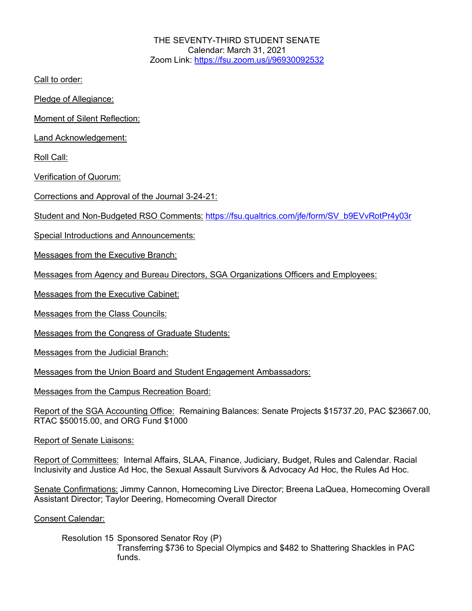THE SEVENTY-THIRD STUDENT SENATE Calendar: March 31, 2021 Zoom Link: https://fsu.zoom.us/j/96930092532

Call to order:

Pledge of Allegiance:

Moment of Silent Reflection:

Land Acknowledgement:

Roll Call:

Verification of Quorum:

Corrections and Approval of the Journal 3-24-21:

Student and Non-Budgeted RSO Comments: https://fsu.qualtrics.com/jfe/form/SV\_b9EVvRotPr4y03r

Special Introductions and Announcements:

Messages from the Executive Branch:

Messages from Agency and Bureau Directors, SGA Organizations Officers and Employees:

Messages from the Executive Cabinet:

Messages from the Class Councils:

Messages from the Congress of Graduate Students:

Messages from the Judicial Branch:

Messages from the Union Board and Student Engagement Ambassadors:

Messages from the Campus Recreation Board:

Report of the SGA Accounting Office: Remaining Balances: Senate Projects \$15737.20, PAC \$23667.00, RTAC \$50015.00, and ORG Fund \$1000

Report of Senate Liaisons:

Report of Committees: Internal Affairs, SLAA, Finance, Judiciary, Budget, Rules and Calendar. Racial Inclusivity and Justice Ad Hoc, the Sexual Assault Survivors & Advocacy Ad Hoc, the Rules Ad Hoc.

Senate Confirmations: Jimmy Cannon, Homecoming Live Director; Breena LaQuea, Homecoming Overall Assistant Director; Taylor Deering, Homecoming Overall Director

Consent Calendar:

Resolution 15 Sponsored Senator Roy (P) Transferring \$736 to Special Olympics and \$482 to Shattering Shackles in PAC funds.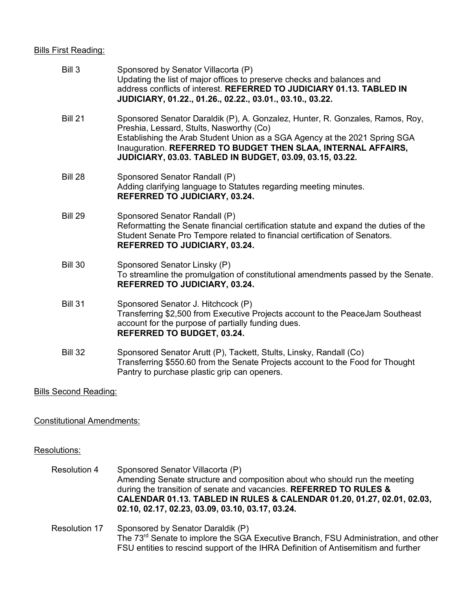## Bills First Reading:

| Bill 3         | Sponsored by Senator Villacorta (P)<br>Updating the list of major offices to preserve checks and balances and<br>address conflicts of interest. REFERRED TO JUDICIARY 01.13. TABLED IN<br>JUDICIARY, 01.22., 01.26., 02.22., 03.01., 03.10., 03.22.                                                                                         |
|----------------|---------------------------------------------------------------------------------------------------------------------------------------------------------------------------------------------------------------------------------------------------------------------------------------------------------------------------------------------|
| <b>Bill 21</b> | Sponsored Senator Daraldik (P), A. Gonzalez, Hunter, R. Gonzales, Ramos, Roy,<br>Preshia, Lessard, Stults, Nasworthy (Co)<br>Establishing the Arab Student Union as a SGA Agency at the 2021 Spring SGA<br>Inauguration. REFERRED TO BUDGET THEN SLAA, INTERNAL AFFAIRS,<br><b>JUDICIARY, 03.03. TABLED IN BUDGET, 03.09, 03.15, 03.22.</b> |
| <b>Bill 28</b> | Sponsored Senator Randall (P)<br>Adding clarifying language to Statutes regarding meeting minutes.<br><b>REFERRED TO JUDICIARY, 03.24.</b>                                                                                                                                                                                                  |
| <b>Bill 29</b> | Sponsored Senator Randall (P)<br>Reformatting the Senate financial certification statute and expand the duties of the<br>Student Senate Pro Tempore related to financial certification of Senators.<br><b>REFERRED TO JUDICIARY, 03.24.</b>                                                                                                 |
| <b>Bill 30</b> | Sponsored Senator Linsky (P)<br>To streamline the promulgation of constitutional amendments passed by the Senate.<br><b>REFERRED TO JUDICIARY, 03.24.</b>                                                                                                                                                                                   |
| <b>Bill 31</b> | Sponsored Senator J. Hitchcock (P)<br>Transferring \$2,500 from Executive Projects account to the PeaceJam Southeast<br>account for the purpose of partially funding dues.<br><b>REFERRED TO BUDGET, 03.24.</b>                                                                                                                             |
| <b>Bill 32</b> | Sponsored Senator Arutt (P), Tackett, Stults, Linsky, Randall (Co)<br>Transferring \$550.60 from the Senate Projects account to the Food for Thought<br>Pantry to purchase plastic grip can openers.                                                                                                                                        |

Bills Second Reading:

Constitutional Amendments:

## Resolutions:

| <b>Resolution 4</b>  | Sponsored Senator Villacorta (P)<br>Amending Senate structure and composition about who should run the meeting<br>during the transition of senate and vacancies. REFERRED TO RULES &<br>CALENDAR 01.13. TABLED IN RULES & CALENDAR 01.20, 01.27, 02.01, 02.03,<br>02.10, 02.17, 02.23, 03.09, 03.10, 03.17, 03.24. |
|----------------------|--------------------------------------------------------------------------------------------------------------------------------------------------------------------------------------------------------------------------------------------------------------------------------------------------------------------|
| <b>Resolution 17</b> | Sponsored by Senator Daraldik (P)<br>The 73 <sup>rd</sup> Senate to implore the SGA Executive Branch, FSU Administration, and other<br>FSU entities to rescind support of the IHRA Definition of Antisemitism and further                                                                                          |